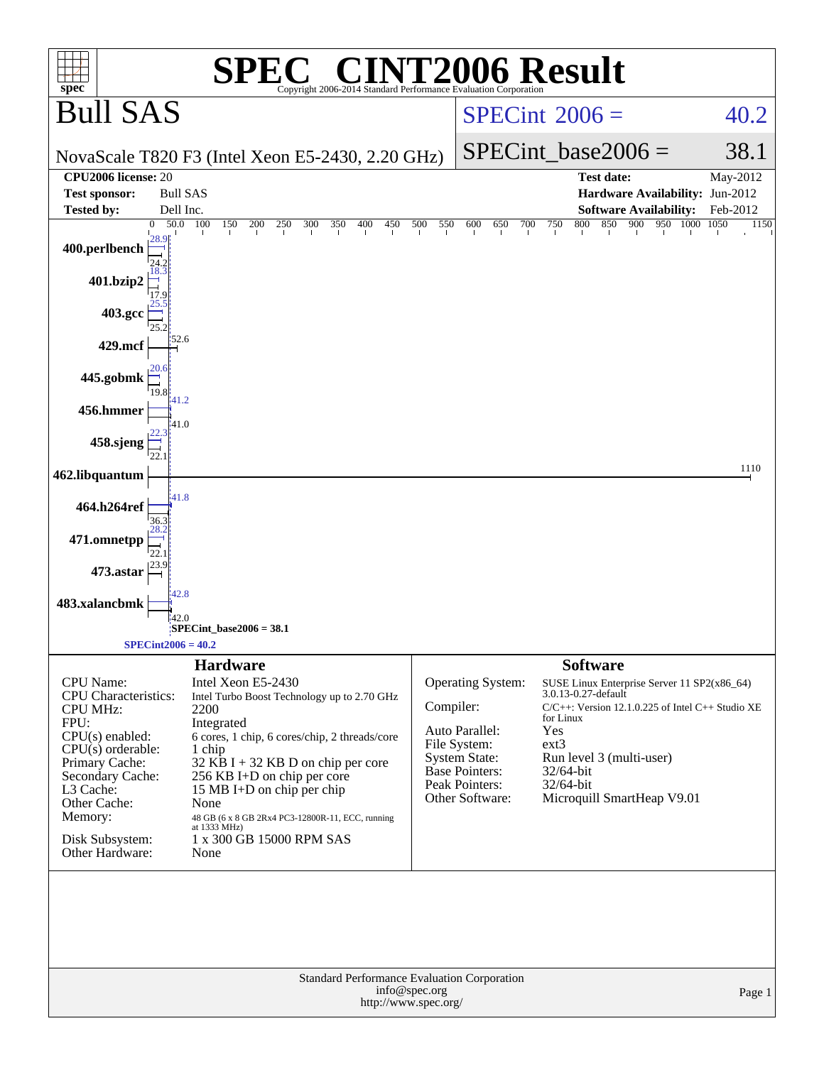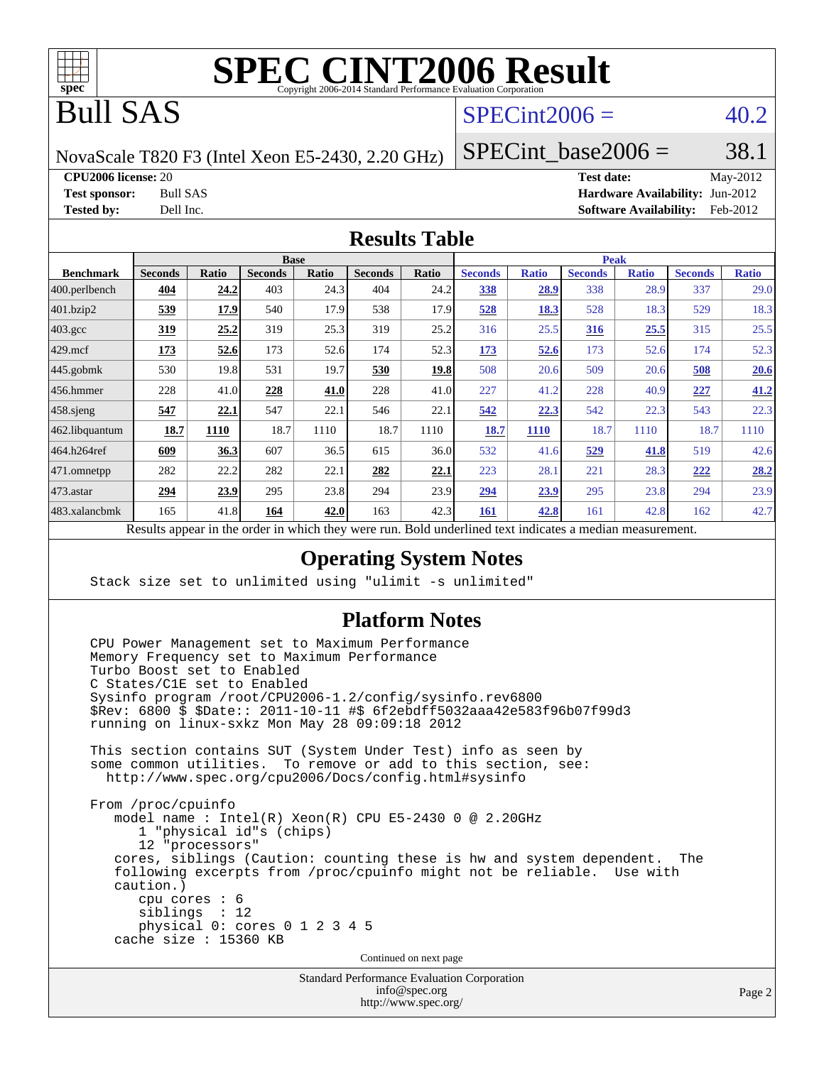

# Bull SAS

# $SPECint2006 = 40.2$  $SPECint2006 = 40.2$

NovaScale T820 F3 (Intel Xeon E5-2430, 2.20 GHz)

SPECint base2006 =  $38.1$ 

**[CPU2006 license:](http://www.spec.org/auto/cpu2006/Docs/result-fields.html#CPU2006license)** 20 **[Test date:](http://www.spec.org/auto/cpu2006/Docs/result-fields.html#Testdate)** May-2012

**[Test sponsor:](http://www.spec.org/auto/cpu2006/Docs/result-fields.html#Testsponsor)** Bull SAS **[Hardware Availability:](http://www.spec.org/auto/cpu2006/Docs/result-fields.html#HardwareAvailability)** Jun-2012 **[Tested by:](http://www.spec.org/auto/cpu2006/Docs/result-fields.html#Testedby)** Dell Inc. **[Software Availability:](http://www.spec.org/auto/cpu2006/Docs/result-fields.html#SoftwareAvailability)** Feb-2012

#### **[Results Table](http://www.spec.org/auto/cpu2006/Docs/result-fields.html#ResultsTable)**

|                    | <b>Base</b>                                                  |       |                |       |                | <b>Peak</b> |                                           |              |                |              |                |              |
|--------------------|--------------------------------------------------------------|-------|----------------|-------|----------------|-------------|-------------------------------------------|--------------|----------------|--------------|----------------|--------------|
| <b>Benchmark</b>   | <b>Seconds</b>                                               | Ratio | <b>Seconds</b> | Ratio | <b>Seconds</b> | Ratio       | <b>Seconds</b>                            | <b>Ratio</b> | <b>Seconds</b> | <b>Ratio</b> | <b>Seconds</b> | <b>Ratio</b> |
| 400.perlbench      | 404                                                          | 24.2  | 403            | 24.3  | 404            | 24.2        | <b>338</b>                                | 28.9         | 338            | 28.9         | 337            | 29.0         |
| 401.bzip2          | 539                                                          | 17.9  | 540            | 17.9  | 538            | 17.9        | 528                                       | 18.3         | 528            | 18.3         | 529            | 18.3         |
| $403.\mathrm{gcc}$ | 319                                                          | 25.2  | 319            | 25.3  | 319            | 25.2        | 316                                       | 25.5         | 316            | 25.5         | 315            | 25.5         |
| $429$ .mcf         | 173                                                          | 52.6  | 173            | 52.6  | 174            | 52.3        | 173                                       | 52.6         | 173            | 52.6         | 174            | 52.3         |
| $445$ .gobmk       | 530                                                          | 19.8  | 531            | 19.7  | 530            | 19.8        | 508                                       | 20.6         | 509            | 20.6         | 508            | 20.6         |
| $456.$ hmmer       | 228                                                          | 41.0  | 228            | 41.0  | 228            | 41.0        | 227                                       | 41.2         | 228            | 40.9         | 227            | 41.2         |
| $458$ .sjeng       | 547                                                          | 22.1  | 547            | 22.1  | 546            | 22.1        | 542                                       | 22.3         | 542            | 22.3         | 543            | 22.3         |
| 462.libquantum     | 18.7                                                         | 1110  | 18.7           | 1110  | 18.7           | 1110        | 18.7                                      | <b>1110</b>  | 18.7           | 1110         | 18.7           | 1110         |
| 464.h264ref        | 609                                                          | 36.3  | 607            | 36.5  | 615            | 36.0        | 532                                       | 41.6         | 529            | 41.8         | 519            | 42.6         |
| 471.omnetpp        | 282                                                          | 22.2  | 282            | 22.1  | 282            | 22.1        | 223                                       | 28.1         | 221            | 28.3         | 222            | 28.2         |
| 473.astar          | 294                                                          | 23.9  | 295            | 23.8  | 294            | 23.9        | 294                                       | 23.9         | 295            | 23.8         | 294            | 23.9         |
| 483.xalancbmk      | 165                                                          | 41.8  | 164            | 42.0  | 163            | 42.3        | 161                                       | 42.8         | 161            | 42.8         | 162            | 42.7         |
|                    | Describe announced to the conduction to think there are more |       |                |       |                |             | Deld condentined teat indicates a medical |              |                |              |                |              |

Results appear in the [order in which they were run.](http://www.spec.org/auto/cpu2006/Docs/result-fields.html#RunOrder) Bold underlined text [indicates a median measurement.](http://www.spec.org/auto/cpu2006/Docs/result-fields.html#Median)

#### **[Operating System Notes](http://www.spec.org/auto/cpu2006/Docs/result-fields.html#OperatingSystemNotes)**

Stack size set to unlimited using "ulimit -s unlimited"

#### **[Platform Notes](http://www.spec.org/auto/cpu2006/Docs/result-fields.html#PlatformNotes)**

 CPU Power Management set to Maximum Performance Memory Frequency set to Maximum Performance Turbo Boost set to Enabled C States/C1E set to Enabled Sysinfo program /root/CPU2006-1.2/config/sysinfo.rev6800 \$Rev: 6800 \$ \$Date:: 2011-10-11 #\$ 6f2ebdff5032aaa42e583f96b07f99d3 running on linux-sxkz Mon May 28 09:09:18 2012 This section contains SUT (System Under Test) info as seen by some common utilities. To remove or add to this section, see: <http://www.spec.org/cpu2006/Docs/config.html#sysinfo> From /proc/cpuinfo model name : Intel(R) Xeon(R) CPU E5-2430 0 @ 2.20GHz 1 "physical id"s (chips) 12 "processors" cores, siblings (Caution: counting these is hw and system dependent. The following excerpts from /proc/cpuinfo might not be reliable. Use with caution.) cpu cores : 6 siblings : 12 physical 0: cores 0 1 2 3 4 5 cache size : 15360 KB Continued on next page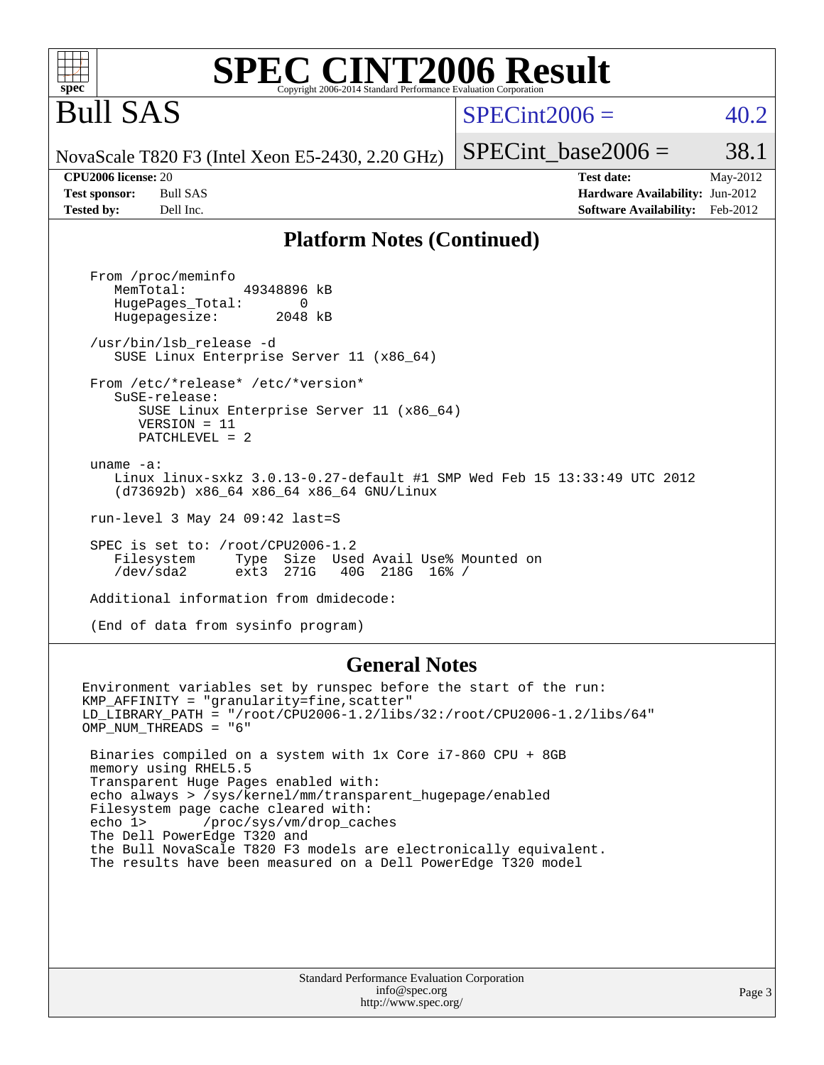#### **spec [SPEC CINT2006 Result](http://www.spec.org/auto/cpu2006/Docs/result-fields.html#SPECCINT2006Result)** Copyright 2006-2014 Standard Performance Evaluation Corpo

# Bull SAS

### $SPECint2006 = 40.2$  $SPECint2006 = 40.2$

SPECint base2006 =  $38.1$ 

NovaScale T820 F3 (Intel Xeon E5-2430, 2.20 GHz)

**[Tested by:](http://www.spec.org/auto/cpu2006/Docs/result-fields.html#Testedby)** Dell Inc. **[Software Availability:](http://www.spec.org/auto/cpu2006/Docs/result-fields.html#SoftwareAvailability)** Feb-2012

**[CPU2006 license:](http://www.spec.org/auto/cpu2006/Docs/result-fields.html#CPU2006license)** 20 **[Test date:](http://www.spec.org/auto/cpu2006/Docs/result-fields.html#Testdate)** May-2012 **[Test sponsor:](http://www.spec.org/auto/cpu2006/Docs/result-fields.html#Testsponsor)** Bull SAS **[Hardware Availability:](http://www.spec.org/auto/cpu2006/Docs/result-fields.html#HardwareAvailability)** Jun-2012

#### **[Platform Notes \(Continued\)](http://www.spec.org/auto/cpu2006/Docs/result-fields.html#PlatformNotes)**

 From /proc/meminfo MemTotal: 49348896 kB HugePages\_Total: 0<br>Hugepagesize: 2048 kB Hugepagesize: /usr/bin/lsb\_release -d SUSE Linux Enterprise Server 11 (x86\_64) From /etc/\*release\* /etc/\*version\* SuSE-release: SUSE Linux Enterprise Server 11 (x86\_64) VERSION = 11 PATCHLEVEL = 2 uname -a: Linux linux-sxkz 3.0.13-0.27-default #1 SMP Wed Feb 15 13:33:49 UTC 2012 (d73692b) x86\_64 x86\_64 x86\_64 GNU/Linux run-level 3 May 24 09:42 last=S SPEC is set to: /root/CPU2006-1.2<br>Filesystem Type Size Use Type Size Used Avail Use% Mounted on<br>ext3 271G 40G 218G 16% / /dev/sda2 ext3 271G 40G 218G 16% / Additional information from dmidecode:

(End of data from sysinfo program)

#### **[General Notes](http://www.spec.org/auto/cpu2006/Docs/result-fields.html#GeneralNotes)**

Environment variables set by runspec before the start of the run: KMP\_AFFINITY = "granularity=fine,scatter" LD\_LIBRARY\_PATH = "/root/CPU2006-1.2/libs/32:/root/CPU2006-1.2/libs/64" OMP\_NUM\_THREADS = "6" Binaries compiled on a system with 1x Core i7-860 CPU + 8GB memory using RHEL5.5 Transparent Huge Pages enabled with: echo always > /sys/kernel/mm/transparent\_hugepage/enabled Filesystem page cache cleared with: echo 1> /proc/sys/vm/drop\_caches The Dell PowerEdge T320 and the Bull NovaScale T820 F3 models are electronically equivalent. The results have been measured on a Dell PowerEdge T320 model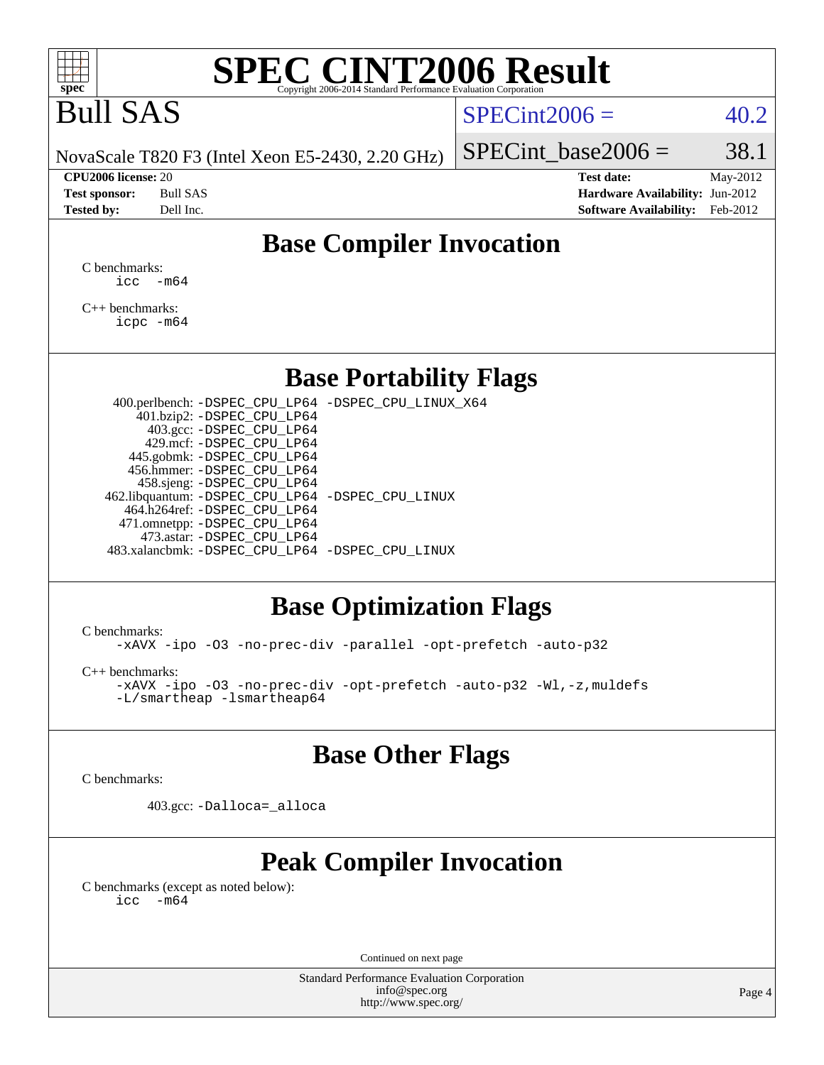

# Bull SAS

### $SPECint2006 = 40.2$  $SPECint2006 = 40.2$

NovaScale T820 F3 (Intel Xeon E5-2430, 2.20 GHz)

**[CPU2006 license:](http://www.spec.org/auto/cpu2006/Docs/result-fields.html#CPU2006license)** 20 **[Test date:](http://www.spec.org/auto/cpu2006/Docs/result-fields.html#Testdate)** May-2012 **[Test sponsor:](http://www.spec.org/auto/cpu2006/Docs/result-fields.html#Testsponsor)** Bull SAS **[Hardware Availability:](http://www.spec.org/auto/cpu2006/Docs/result-fields.html#HardwareAvailability)** Jun-2012 **[Tested by:](http://www.spec.org/auto/cpu2006/Docs/result-fields.html#Testedby)** Dell Inc. **[Software Availability:](http://www.spec.org/auto/cpu2006/Docs/result-fields.html#SoftwareAvailability)** Feb-2012

SPECint base2006 =  $38.1$ 

## **[Base Compiler Invocation](http://www.spec.org/auto/cpu2006/Docs/result-fields.html#BaseCompilerInvocation)**

[C benchmarks](http://www.spec.org/auto/cpu2006/Docs/result-fields.html#Cbenchmarks):  $\text{icc}$   $-\text{m64}$ 

[C++ benchmarks:](http://www.spec.org/auto/cpu2006/Docs/result-fields.html#CXXbenchmarks) [icpc -m64](http://www.spec.org/cpu2006/results/res2012q3/cpu2006-20120703-23431.flags.html#user_CXXbase_intel_icpc_64bit_fc66a5337ce925472a5c54ad6a0de310)

### **[Base Portability Flags](http://www.spec.org/auto/cpu2006/Docs/result-fields.html#BasePortabilityFlags)**

 400.perlbench: [-DSPEC\\_CPU\\_LP64](http://www.spec.org/cpu2006/results/res2012q3/cpu2006-20120703-23431.flags.html#b400.perlbench_basePORTABILITY_DSPEC_CPU_LP64) [-DSPEC\\_CPU\\_LINUX\\_X64](http://www.spec.org/cpu2006/results/res2012q3/cpu2006-20120703-23431.flags.html#b400.perlbench_baseCPORTABILITY_DSPEC_CPU_LINUX_X64) 401.bzip2: [-DSPEC\\_CPU\\_LP64](http://www.spec.org/cpu2006/results/res2012q3/cpu2006-20120703-23431.flags.html#suite_basePORTABILITY401_bzip2_DSPEC_CPU_LP64) 403.gcc: [-DSPEC\\_CPU\\_LP64](http://www.spec.org/cpu2006/results/res2012q3/cpu2006-20120703-23431.flags.html#suite_basePORTABILITY403_gcc_DSPEC_CPU_LP64) 429.mcf: [-DSPEC\\_CPU\\_LP64](http://www.spec.org/cpu2006/results/res2012q3/cpu2006-20120703-23431.flags.html#suite_basePORTABILITY429_mcf_DSPEC_CPU_LP64) 445.gobmk: [-DSPEC\\_CPU\\_LP64](http://www.spec.org/cpu2006/results/res2012q3/cpu2006-20120703-23431.flags.html#suite_basePORTABILITY445_gobmk_DSPEC_CPU_LP64) 456.hmmer: [-DSPEC\\_CPU\\_LP64](http://www.spec.org/cpu2006/results/res2012q3/cpu2006-20120703-23431.flags.html#suite_basePORTABILITY456_hmmer_DSPEC_CPU_LP64) 458.sjeng: [-DSPEC\\_CPU\\_LP64](http://www.spec.org/cpu2006/results/res2012q3/cpu2006-20120703-23431.flags.html#suite_basePORTABILITY458_sjeng_DSPEC_CPU_LP64) 462.libquantum: [-DSPEC\\_CPU\\_LP64](http://www.spec.org/cpu2006/results/res2012q3/cpu2006-20120703-23431.flags.html#suite_basePORTABILITY462_libquantum_DSPEC_CPU_LP64) [-DSPEC\\_CPU\\_LINUX](http://www.spec.org/cpu2006/results/res2012q3/cpu2006-20120703-23431.flags.html#b462.libquantum_baseCPORTABILITY_DSPEC_CPU_LINUX) 464.h264ref: [-DSPEC\\_CPU\\_LP64](http://www.spec.org/cpu2006/results/res2012q3/cpu2006-20120703-23431.flags.html#suite_basePORTABILITY464_h264ref_DSPEC_CPU_LP64) 471.omnetpp: [-DSPEC\\_CPU\\_LP64](http://www.spec.org/cpu2006/results/res2012q3/cpu2006-20120703-23431.flags.html#suite_basePORTABILITY471_omnetpp_DSPEC_CPU_LP64) 473.astar: [-DSPEC\\_CPU\\_LP64](http://www.spec.org/cpu2006/results/res2012q3/cpu2006-20120703-23431.flags.html#suite_basePORTABILITY473_astar_DSPEC_CPU_LP64) 483.xalancbmk: [-DSPEC\\_CPU\\_LP64](http://www.spec.org/cpu2006/results/res2012q3/cpu2006-20120703-23431.flags.html#suite_basePORTABILITY483_xalancbmk_DSPEC_CPU_LP64) [-DSPEC\\_CPU\\_LINUX](http://www.spec.org/cpu2006/results/res2012q3/cpu2006-20120703-23431.flags.html#b483.xalancbmk_baseCXXPORTABILITY_DSPEC_CPU_LINUX)

## **[Base Optimization Flags](http://www.spec.org/auto/cpu2006/Docs/result-fields.html#BaseOptimizationFlags)**

[C benchmarks](http://www.spec.org/auto/cpu2006/Docs/result-fields.html#Cbenchmarks):

[-xAVX](http://www.spec.org/cpu2006/results/res2012q3/cpu2006-20120703-23431.flags.html#user_CCbase_f-xAVX) [-ipo](http://www.spec.org/cpu2006/results/res2012q3/cpu2006-20120703-23431.flags.html#user_CCbase_f-ipo) [-O3](http://www.spec.org/cpu2006/results/res2012q3/cpu2006-20120703-23431.flags.html#user_CCbase_f-O3) [-no-prec-div](http://www.spec.org/cpu2006/results/res2012q3/cpu2006-20120703-23431.flags.html#user_CCbase_f-no-prec-div) [-parallel](http://www.spec.org/cpu2006/results/res2012q3/cpu2006-20120703-23431.flags.html#user_CCbase_f-parallel) [-opt-prefetch](http://www.spec.org/cpu2006/results/res2012q3/cpu2006-20120703-23431.flags.html#user_CCbase_f-opt-prefetch) [-auto-p32](http://www.spec.org/cpu2006/results/res2012q3/cpu2006-20120703-23431.flags.html#user_CCbase_f-auto-p32)

[C++ benchmarks:](http://www.spec.org/auto/cpu2006/Docs/result-fields.html#CXXbenchmarks)

[-xAVX](http://www.spec.org/cpu2006/results/res2012q3/cpu2006-20120703-23431.flags.html#user_CXXbase_f-xAVX) [-ipo](http://www.spec.org/cpu2006/results/res2012q3/cpu2006-20120703-23431.flags.html#user_CXXbase_f-ipo) [-O3](http://www.spec.org/cpu2006/results/res2012q3/cpu2006-20120703-23431.flags.html#user_CXXbase_f-O3) [-no-prec-div](http://www.spec.org/cpu2006/results/res2012q3/cpu2006-20120703-23431.flags.html#user_CXXbase_f-no-prec-div) [-opt-prefetch](http://www.spec.org/cpu2006/results/res2012q3/cpu2006-20120703-23431.flags.html#user_CXXbase_f-opt-prefetch) [-auto-p32](http://www.spec.org/cpu2006/results/res2012q3/cpu2006-20120703-23431.flags.html#user_CXXbase_f-auto-p32) [-Wl,-z,muldefs](http://www.spec.org/cpu2006/results/res2012q3/cpu2006-20120703-23431.flags.html#user_CXXbase_link_force_multiple1_74079c344b956b9658436fd1b6dd3a8a) [-L/smartheap -lsmartheap64](http://www.spec.org/cpu2006/results/res2012q3/cpu2006-20120703-23431.flags.html#user_CXXbase_SmartHeap64_5e654037dadeae1fe403ab4b4466e60b)

## **[Base Other Flags](http://www.spec.org/auto/cpu2006/Docs/result-fields.html#BaseOtherFlags)**

[C benchmarks](http://www.spec.org/auto/cpu2006/Docs/result-fields.html#Cbenchmarks):

403.gcc: [-Dalloca=\\_alloca](http://www.spec.org/cpu2006/results/res2012q3/cpu2006-20120703-23431.flags.html#b403.gcc_baseEXTRA_CFLAGS_Dalloca_be3056838c12de2578596ca5467af7f3)

# **[Peak Compiler Invocation](http://www.spec.org/auto/cpu2006/Docs/result-fields.html#PeakCompilerInvocation)**

[C benchmarks \(except as noted below\)](http://www.spec.org/auto/cpu2006/Docs/result-fields.html#Cbenchmarksexceptasnotedbelow):  $\text{icc}$  -m64

Continued on next page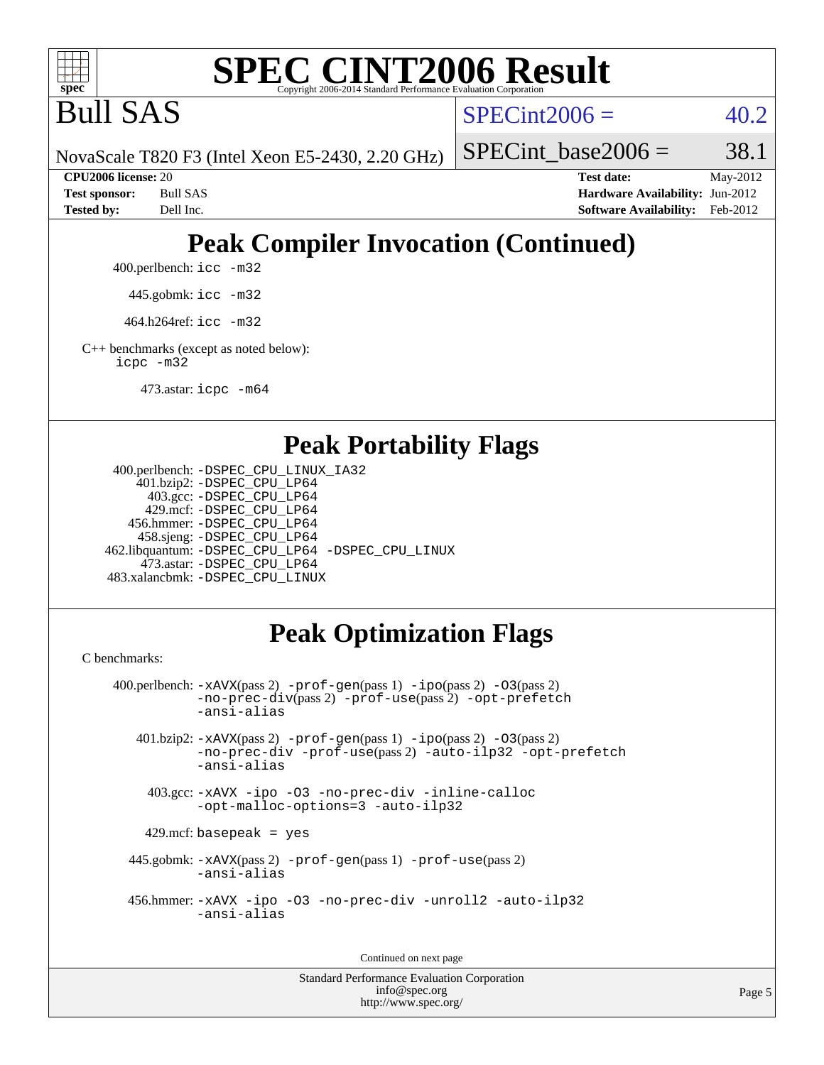

Bull SAS

 $SPECint2006 = 40.2$  $SPECint2006 = 40.2$ 

NovaScale T820 F3 (Intel Xeon E5-2430, 2.20 GHz)

SPECint base2006 =  $38.1$ 

**[CPU2006 license:](http://www.spec.org/auto/cpu2006/Docs/result-fields.html#CPU2006license)** 20 **[Test date:](http://www.spec.org/auto/cpu2006/Docs/result-fields.html#Testdate)** May-2012 **[Test sponsor:](http://www.spec.org/auto/cpu2006/Docs/result-fields.html#Testsponsor)** Bull SAS **[Hardware Availability:](http://www.spec.org/auto/cpu2006/Docs/result-fields.html#HardwareAvailability)** Jun-2012 **[Tested by:](http://www.spec.org/auto/cpu2006/Docs/result-fields.html#Testedby)** Dell Inc. **[Software Availability:](http://www.spec.org/auto/cpu2006/Docs/result-fields.html#SoftwareAvailability)** Feb-2012

# **[Peak Compiler Invocation \(Continued\)](http://www.spec.org/auto/cpu2006/Docs/result-fields.html#PeakCompilerInvocation)**

400.perlbench: [icc -m32](http://www.spec.org/cpu2006/results/res2012q3/cpu2006-20120703-23431.flags.html#user_peakCCLD400_perlbench_intel_icc_a6a621f8d50482236b970c6ac5f55f93)

445.gobmk: [icc -m32](http://www.spec.org/cpu2006/results/res2012q3/cpu2006-20120703-23431.flags.html#user_peakCCLD445_gobmk_intel_icc_a6a621f8d50482236b970c6ac5f55f93)

464.h264ref: [icc -m32](http://www.spec.org/cpu2006/results/res2012q3/cpu2006-20120703-23431.flags.html#user_peakCCLD464_h264ref_intel_icc_a6a621f8d50482236b970c6ac5f55f93)

[C++ benchmarks \(except as noted below\):](http://www.spec.org/auto/cpu2006/Docs/result-fields.html#CXXbenchmarksexceptasnotedbelow) [icpc -m32](http://www.spec.org/cpu2006/results/res2012q3/cpu2006-20120703-23431.flags.html#user_CXXpeak_intel_icpc_4e5a5ef1a53fd332b3c49e69c3330699)

473.astar: [icpc -m64](http://www.spec.org/cpu2006/results/res2012q3/cpu2006-20120703-23431.flags.html#user_peakCXXLD473_astar_intel_icpc_64bit_fc66a5337ce925472a5c54ad6a0de310)

### **[Peak Portability Flags](http://www.spec.org/auto/cpu2006/Docs/result-fields.html#PeakPortabilityFlags)**

```
 400.perlbench: -DSPEC_CPU_LINUX_IA32
    401.bzip2: -DSPEC_CPU_LP64
      403.gcc: -DSPEC_CPU_LP64
     429.mcf: -DSPEC_CPU_LP64
   456.hmmer: -DSPEC_CPU_LP64
    458.sjeng: -DSPEC_CPU_LP64
462.libquantum: -DSPEC_CPU_LP64 -DSPEC_CPU_LINUX
     473.astar: -DSPEC_CPU_LP64
483.xalancbmk: -DSPEC_CPU_LINUX
```
# **[Peak Optimization Flags](http://www.spec.org/auto/cpu2006/Docs/result-fields.html#PeakOptimizationFlags)**

[C benchmarks](http://www.spec.org/auto/cpu2006/Docs/result-fields.html#Cbenchmarks):

```
 400.perlbench: -xAVX(pass 2) -prof-gen(pass 1) -ipo(pass 2) -O3(pass 2)
           -no-prec-div(pass 2) -prof-use(pass 2) -opt-prefetch
          -ansi-alias
   401.bzip2: -xAVX(pass 2) -prof-gen(pass 1) -ipo(pass 2) -O3(pass 2)
           -no-prec-div -prof-use(pass 2) -auto-ilp32 -opt-prefetch
           -ansi-alias
    403.gcc: -xAVX -ipo -O3 -no-prec-div -inline-calloc
           -opt-malloc-options=3 -auto-ilp32
   429.mcf: basepeak = yes
  445.gobmk: -xAVX(pass 2) -prof-gen(pass 1) -prof-use(pass 2)
           -ansi-alias
  456.hmmer: -xAVX -ipo -O3 -no-prec-div -unroll2 -auto-ilp32
           -ansi-alias
```
Continued on next page